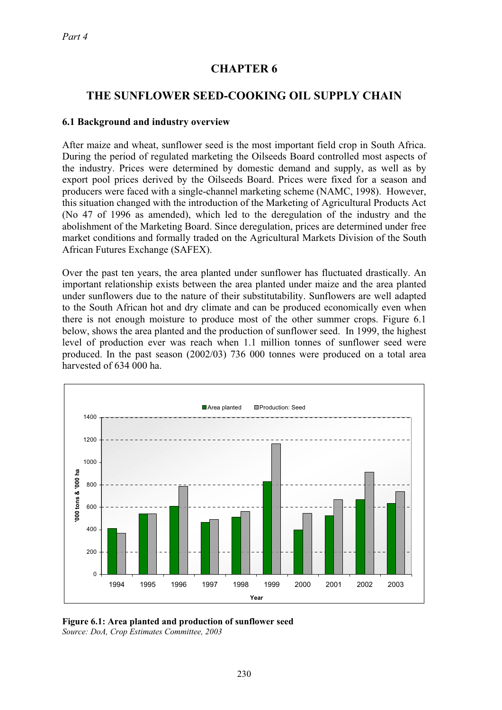# **CHAPTER 6**

# **THE SUNFLOWER SEED-COOKING OIL SUPPLY CHAIN**

#### **6.1 Background and industry overview**

After maize and wheat, sunflower seed is the most important field crop in South Africa. During the period of regulated marketing the Oilseeds Board controlled most aspects of the industry. Prices were determined by domestic demand and supply, as well as by export pool prices derived by the Oilseeds Board. Prices were fixed for a season and producers were faced with a single-channel marketing scheme (NAMC, 1998). However, this situation changed with the introduction of the Marketing of Agricultural Products Act (No 47 of 1996 as amended), which led to the deregulation of the industry and the abolishment of the Marketing Board. Since deregulation, prices are determined under free market conditions and formally traded on the Agricultural Markets Division of the South African Futures Exchange (SAFEX).

Over the past ten years, the area planted under sunflower has fluctuated drastically. An important relationship exists between the area planted under maize and the area planted under sunflowers due to the nature of their substitutability. Sunflowers are well adapted to the South African hot and dry climate and can be produced economically even when there is not enough moisture to produce most of the other summer crops. Figure 6.1 below, shows the area planted and the production of sunflower seed. In 1999, the highest level of production ever was reach when 1.1 million tonnes of sunflower seed were produced. In the past season (2002/03) 736 000 tonnes were produced on a total area harvested of 634 000 ha.



**Figure 6.1: Area planted and production of sunflower seed** *Source: DoA, Crop Estimates Committee, 2003*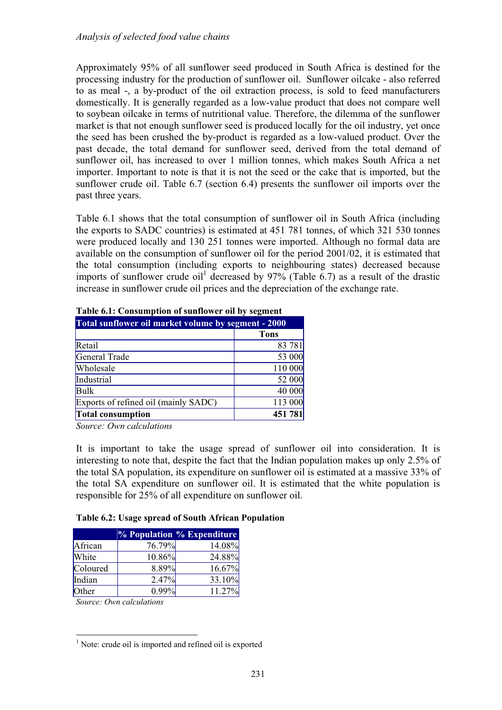Approximately 95% of all sunflower seed produced in South Africa is destined for the processing industry for the production of sunflower oil. Sunflower oilcake - also referred to as meal -, a by-product of the oil extraction process, is sold to feed manufacturers domestically. It is generally regarded as a low-value product that does not compare well to soybean oilcake in terms of nutritional value. Therefore, the dilemma of the sunflower market is that not enough sunflower seed is produced locally for the oil industry, yet once the seed has been crushed the by-product is regarded as a low-valued product. Over the past decade, the total demand for sunflower seed, derived from the total demand of sunflower oil, has increased to over 1 million tonnes, which makes South Africa a net importer. Important to note is that it is not the seed or the cake that is imported, but the sunflower crude oil. Table 6.7 (section 6.4) presents the sunflower oil imports over the past three years.

Table 6.1 shows that the total consumption of sunflower oil in South Africa (including the exports to SADC countries) is estimated at 451 781 tonnes, of which 321 530 tonnes were produced locally and 130 251 tonnes were imported. Although no formal data are available on the consumption of sunflower oil for the period 2001/02, it is estimated that the total consumption (including exports to neighbouring states) decreased because imports of sunflower crude oil<sup>1</sup> decreased by  $97\%$  (Table 6.7) as a result of the drastic increase in sunflower crude oil prices and the depreciation of the exchange rate.

| тарк он, сонзатрион от записны он рузсеный          |             |  |  |  |
|-----------------------------------------------------|-------------|--|--|--|
| Total sunflower oil market volume by segment - 2000 |             |  |  |  |
|                                                     | <b>Tons</b> |  |  |  |
| Retail                                              | 83 781      |  |  |  |
| General Trade                                       | 53 000      |  |  |  |
| Wholesale                                           | 110 000     |  |  |  |
| Industrial                                          | 52 000      |  |  |  |
| <b>Bulk</b>                                         | 40 000      |  |  |  |
| Exports of refined oil (mainly SADC)                | 113 000     |  |  |  |
| <b>Total consumption</b>                            | 451 781     |  |  |  |

**Table 6.1: Consumption of sunflower oil by segment** 

*Source: Own calculations* 

It is important to take the usage spread of sunflower oil into consideration. It is interesting to note that, despite the fact that the Indian population makes up only 2.5% of the total SA population, its expenditure on sunflower oil is estimated at a massive 33% of the total SA expenditure on sunflower oil. It is estimated that the white population is responsible for 25% of all expenditure on sunflower oil.

**Table 6.2: Usage spread of South African Population**

|          |        | $%$ Population $%$ Expenditure |
|----------|--------|--------------------------------|
| African  | 76.79% | 14.08%                         |
| White    | 10.86% | 24.88%                         |
| Coloured | 8.89%  | 16.67%                         |
| Indian   | 2.47%  | 33.10%                         |
| Other    | 0.99%  | 11.27%                         |

*Source: Own calculations*

<sup>&</sup>lt;sup>1</sup> Note: crude oil is imported and refined oil is exported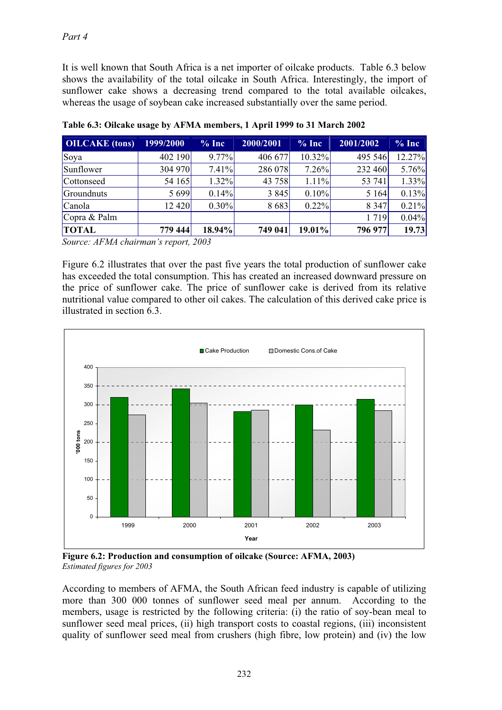It is well known that South Africa is a net importer of oilcake products. Table 6.3 below shows the availability of the total oilcake in South Africa. Interestingly, the import of sunflower cake shows a decreasing trend compared to the total available oilcakes, whereas the usage of soybean cake increased substantially over the same period.

| <b>OILCAKE</b> (tons) | 1999/2000        | $%$ Inc  | 2000/2001 | $%$ Inc   | 2001/2002 | $\frac{9}{6}$ Inc |
|-----------------------|------------------|----------|-----------|-----------|-----------|-------------------|
| Soya                  | 402 190          | $9.77\%$ | 406 677   | $10.32\%$ | 495 546   | 12.27%            |
| Sunflower             | 304 970          | 7.41%    | 286 078   | 7.26%     | 232 460   | 5.76%             |
| Cottonseed            | 54 165           | $1.32\%$ | 43 758    | $1.11\%$  | 53 741    | 1.33%             |
| Groundnuts            | 5 6 9 9          | 0.14%    | 3 8 4 5   | 0.10%     | 5 1 6 4   | 0.13%             |
| Canola                | 12 4 20          | $0.30\%$ | 8683      | 0.22%     | 8 3 4 7   | 0.21%             |
| Copra $&$ Palm        |                  |          |           |           | 1 7 1 9   | 0.04%             |
| <b>TOTAL</b>          | 779 444          | 18.94%   | 749 041   | $19.01\%$ | 796 977   | 19.73             |
| $\sim$<br>$\sqrt{1}$  | $, \, \, \ldots$ |          |           |           |           |                   |

**Table 6.3: Oilcake usage by AFMA members, 1 April 1999 to 31 March 2002**

*Source: AFMA chairman's report, 2003*

Figure 6.2 illustrates that over the past five years the total production of sunflower cake has exceeded the total consumption. This has created an increased downward pressure on the price of sunflower cake. The price of sunflower cake is derived from its relative nutritional value compared to other oil cakes. The calculation of this derived cake price is illustrated in section 6.3.



**Figure 6.2: Production and consumption of oilcake (Source: AFMA, 2003)**  *Estimated figures for 2003*

According to members of AFMA, the South African feed industry is capable of utilizing more than 300 000 tonnes of sunflower seed meal per annum. According to the members, usage is restricted by the following criteria: (i) the ratio of soy-bean meal to sunflower seed meal prices, (ii) high transport costs to coastal regions, (iii) inconsistent quality of sunflower seed meal from crushers (high fibre, low protein) and (iv) the low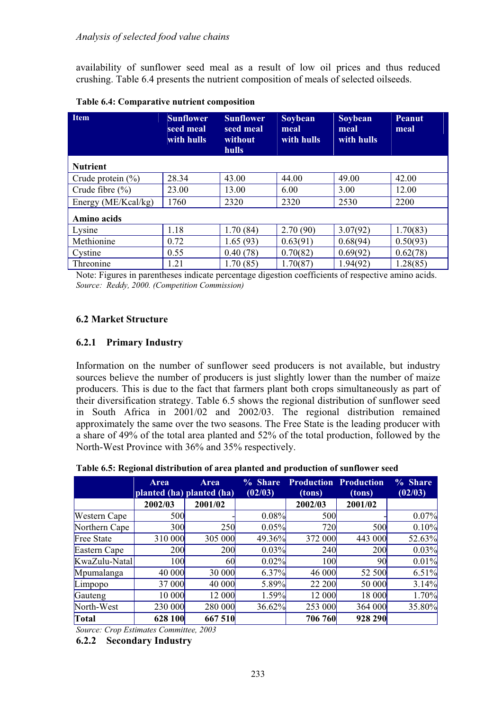availability of sunflower seed meal as a result of low oil prices and thus reduced crushing. Table 6.4 presents the nutrient composition of meals of selected oilseeds.

| <b>Item</b>           | <b>Sunflower</b><br>seed meal<br>with hulls | <b>Sunflower</b><br>seed meal<br>without<br><b>hulls</b> | Soybean<br>meal<br>with hulls | Soybean<br>meal<br>with hulls | <b>Peanut</b><br>meal |
|-----------------------|---------------------------------------------|----------------------------------------------------------|-------------------------------|-------------------------------|-----------------------|
| <b>Nutrient</b>       |                                             |                                                          |                               |                               |                       |
| Crude protein $(\% )$ | 28.34                                       | 43.00                                                    | 44.00                         | 49.00                         | 42.00                 |
| Crude fibre $(\%)$    | 23.00                                       | 13.00                                                    | 6.00                          | 3.00                          | 12.00                 |
| Energy (ME/Kcal/kg)   | 1760                                        | 2320                                                     | 2320                          | 2530                          | 2200                  |
| Amino acids           |                                             |                                                          |                               |                               |                       |
| Lysine                | 1.18                                        | 1.70(84)                                                 | 2.70(90)                      | 3.07(92)                      | 1.70(83)              |
| Methionine            | 0.72                                        | 1.65(93)                                                 | 0.63(91)                      | 0.68(94)                      | 0.50(93)              |
| Cystine               | 0.55                                        | 0.40(78)                                                 | 0.70(82)                      | 0.69(92)                      | 0.62(78)              |
| Threonine             | 1.21                                        | 1.70(85)                                                 | 1.70(87)                      | 1.94(92)                      | 1.28(85)              |

**Table 6.4: Comparative nutrient composition**

Note: Figures in parentheses indicate percentage digestion coefficients of respective amino acids. *Source: Reddy, 2000. (Competition Commission)*

## **6.2 Market Structure**

### **6.2.1 Primary Industry**

Information on the number of sunflower seed producers is not available, but industry sources believe the number of producers is just slightly lower than the number of maize producers. This is due to the fact that farmers plant both crops simultaneously as part of their diversification strategy. Table 6.5 shows the regional distribution of sunflower seed in South Africa in 2001/02 and 2002/03. The regional distribution remained approximately the same over the two seasons. The Free State is the leading producer with a share of 49% of the total area planted and 52% of the total production, followed by the North-West Province with 36% and 35% respectively.

| Table 6.5: Regional distribution of area planted and production of sunflower seed |  |  |
|-----------------------------------------------------------------------------------|--|--|
|-----------------------------------------------------------------------------------|--|--|

|                   | Area    | Area<br>planted (ha) planted (ha) | % Share<br>(02/03) | <b>Production Production</b><br>(tons) | (tons)     | % Share<br>(02/03) |
|-------------------|---------|-----------------------------------|--------------------|----------------------------------------|------------|--------------------|
|                   | 2002/03 | 2001/02                           |                    | 2002/03                                | 2001/02    |                    |
| Western Cape      | 500     |                                   | 0.08%              | 500                                    |            | 0.07%              |
| Northern Cape     | 300     | 250                               | 0.05%              | 720                                    | 500        | 0.10%              |
| <b>Free State</b> | 310 000 | 305 000                           | 49.36%             | 372 000                                | 443 000    | 52.63%             |
| Eastern Cape      | 200     | 200                               | 0.03%              | 240                                    | <b>200</b> | 0.03%              |
| KwaZulu-Natal     | 100     | <b>60</b>                         | $0.02\%$           | 100                                    | 90         | 0.01%              |
| Mpumalanga        | 40 000  | 30 000                            | 6.37%              | 46 000                                 | 52 500     | 6.51%              |
| Limpopo           | 37 000  | 40 000                            | 5.89%              | 22 200                                 | 50 000     | 3.14%              |
| Gauteng           | 10 000  | 12 000                            | 1.59%              | 12 000                                 | 18 000     | 1.70%              |
| North-West        | 230 000 | 280 000                           | 36.62%             | 253 000                                | 364 000    | 35.80%             |
| Total             | 628 100 | 667 510                           |                    | 706 760                                | 928 290    |                    |

*Source: Crop Estimates Committee, 2003*

**6.2.2 Secondary Industry**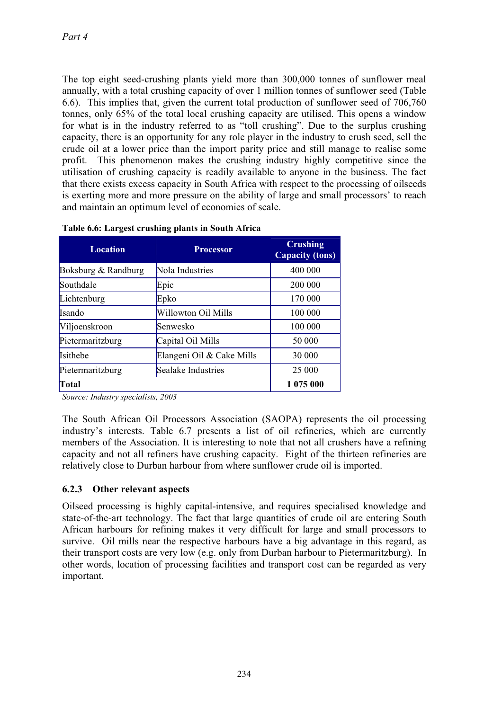The top eight seed-crushing plants yield more than 300,000 tonnes of sunflower meal annually, with a total crushing capacity of over 1 million tonnes of sunflower seed (Table 6.6). This implies that, given the current total production of sunflower seed of 706,760 tonnes, only 65% of the total local crushing capacity are utilised. This opens a window for what is in the industry referred to as "toll crushing". Due to the surplus crushing capacity, there is an opportunity for any role player in the industry to crush seed, sell the crude oil at a lower price than the import parity price and still manage to realise some profit. This phenomenon makes the crushing industry highly competitive since the utilisation of crushing capacity is readily available to anyone in the business. The fact that there exists excess capacity in South Africa with respect to the processing of oilseeds is exerting more and more pressure on the ability of large and small processors' to reach and maintain an optimum level of economies of scale.

| <b>Location</b><br><b>Processor</b> |                           | <b>Crushing</b><br><b>Capacity (tons)</b> |
|-------------------------------------|---------------------------|-------------------------------------------|
| Boksburg & Randburg                 | Nola Industries           | 400 000                                   |
| Southdale                           | Epic                      | 200 000                                   |
| Lichtenburg                         | Epko                      | 170 000                                   |
| <b>Isando</b>                       | Willowton Oil Mills       | 100 000                                   |
| Viljoenskroon                       | Senwesko                  | 100 000                                   |
| Pietermaritzburg                    | Capital Oil Mills         | 50 000                                    |
| <b>Isithebe</b>                     | Elangeni Oil & Cake Mills | 30 000                                    |
| Pietermaritzburg                    | Sealake Industries        | 25 000                                    |
| Total                               |                           | 1 075 000                                 |

|  |  | Table 6.6: Largest crushing plants in South Africa |
|--|--|----------------------------------------------------|
|  |  |                                                    |

*Source: Industry specialists, 2003* 

The South African Oil Processors Association (SAOPA) represents the oil processing industry's interests. Table 6.7 presents a list of oil refineries, which are currently members of the Association. It is interesting to note that not all crushers have a refining capacity and not all refiners have crushing capacity. Eight of the thirteen refineries are relatively close to Durban harbour from where sunflower crude oil is imported.

### **6.2.3 Other relevant aspects**

Oilseed processing is highly capital-intensive, and requires specialised knowledge and state-of-the-art technology. The fact that large quantities of crude oil are entering South African harbours for refining makes it very difficult for large and small processors to survive. Oil mills near the respective harbours have a big advantage in this regard, as their transport costs are very low (e.g. only from Durban harbour to Pietermaritzburg). In other words, location of processing facilities and transport cost can be regarded as very important.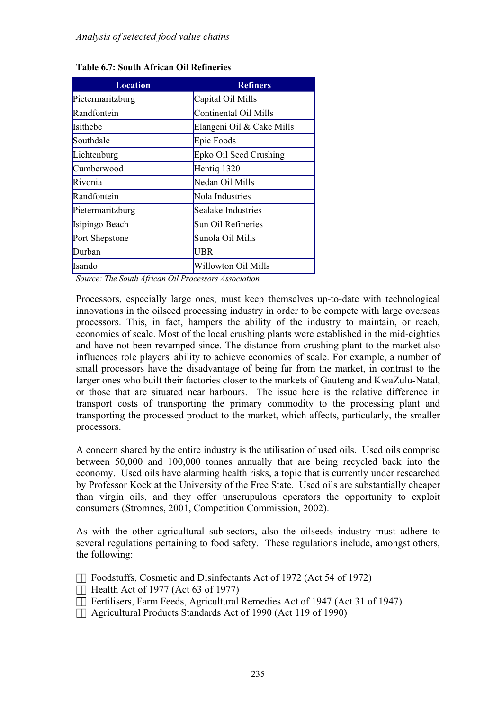| Location         | <b>Refiners</b>           |
|------------------|---------------------------|
| Pietermaritzburg | Capital Oil Mills         |
| Randfontein      | Continental Oil Mills     |
| <b>Isithebe</b>  | Elangeni Oil & Cake Mills |
| Southdale        | Epic Foods                |
| Lichtenburg      | Epko Oil Seed Crushing    |
| Cumberwood       | Hentiq 1320               |
| Rivonia          | Nedan Oil Mills           |
| Randfontein      | Nola Industries           |
| Pietermaritzburg | Sealake Industries        |
| Isipingo Beach   | Sun Oil Refineries        |
| Port Shepstone   | Sunola Oil Mills          |
| Durban           | UBR                       |
| Isando           | Willowton Oil Mills       |

|  |  |  |  | Table 6.7: South African Oil Refineries |
|--|--|--|--|-----------------------------------------|
|--|--|--|--|-----------------------------------------|

*Source: The South African Oil Processors Association*

Processors, especially large ones, must keep themselves up-to-date with technological innovations in the oilseed processing industry in order to be compete with large overseas processors. This, in fact, hampers the ability of the industry to maintain, or reach, economies of scale. Most of the local crushing plants were established in the mid-eighties and have not been revamped since. The distance from crushing plant to the market also influences role players' ability to achieve economies of scale. For example, a number of small processors have the disadvantage of being far from the market, in contrast to the larger ones who built their factories closer to the markets of Gauteng and KwaZulu-Natal, or those that are situated near harbours. The issue here is the relative difference in transport costs of transporting the primary commodity to the processing plant and transporting the processed product to the market, which affects, particularly, the smaller processors.

A concern shared by the entire industry is the utilisation of used oils. Used oils comprise between 50,000 and 100,000 tonnes annually that are being recycled back into the economy. Used oils have alarming health risks, a topic that is currently under researched by Professor Kock at the University of the Free State. Used oils are substantially cheaper than virgin oils, and they offer unscrupulous operators the opportunity to exploit consumers (Stromnes, 2001, Competition Commission, 2002).

As with the other agricultural sub-sectors, also the oilseeds industry must adhere to several regulations pertaining to food safety. These regulations include, amongst others, the following:

- Foodstuffs, Cosmetic and Disinfectants Act of 1972 (Act 54 of 1972)
- $\check{\text{S}}$  Health Act of 1977 (Act 63 of 1977)
- Fertilisers, Farm Feeds, Agricultural Remedies Act of 1947 (Act 31 of 1947)
- Agricultural Products Standards Act of 1990 (Act 119 of 1990)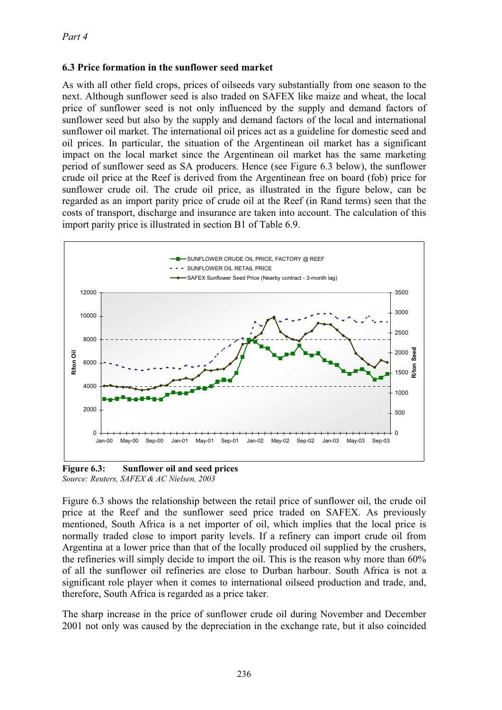### **6.3 Price formation in the sunflower seed market**

As with all other field crops, prices of oilseeds vary substantially from one season to the next. Although sunflower seed is also traded on SAFEX like maize and wheat, the local price of sunflower seed is not only influenced by the supply and demand factors of sunflower seed but also by the supply and demand factors of the local and international sunflower oil market. The international oil prices act as a guideline for domestic seed and oil prices. In particular, the situation of the Argentinean oil market has a significant impact on the local market since the Argentinean oil market has the same marketing period of sunflower seed as SA producers. Hence (see Figure 6.3 below), the sunflower crude oil price at the Reef is derived from the Argentinean free on board (fob) price for sunflower crude oil. The crude oil price, as illustrated in the figure below, can be regarded as an import parity price of crude oil at the Reef (in Rand terms) seen that the costs of transport, discharge and insurance are taken into account. The calculation of this import parity price is illustrated in section B1 of Table 6.9.



**Figure 6.3: Sunflower oil and seed prices** *Source: Reuters, SAFEX & AC Nielsen, 2003*

Figure 6.3 shows the relationship between the retail price of sunflower oil, the crude oil price at the Reef and the sunflower seed price traded on SAFEX. As previously mentioned, South Africa is a net importer of oil, which implies that the local price is normally traded close to import parity levels. If a refinery can import crude oil from Argentina at a lower price than that of the locally produced oil supplied by the crushers, the refineries will simply decide to import the oil. This is the reason why more than 60% of all the sunflower oil refineries are close to Durban harbour. South Africa is not a significant role player when it comes to international oilseed production and trade, and, therefore, South Africa is regarded as a price taker.

The sharp increase in the price of sunflower crude oil during November and December 2001 not only was caused by the depreciation in the exchange rate, but it also coincided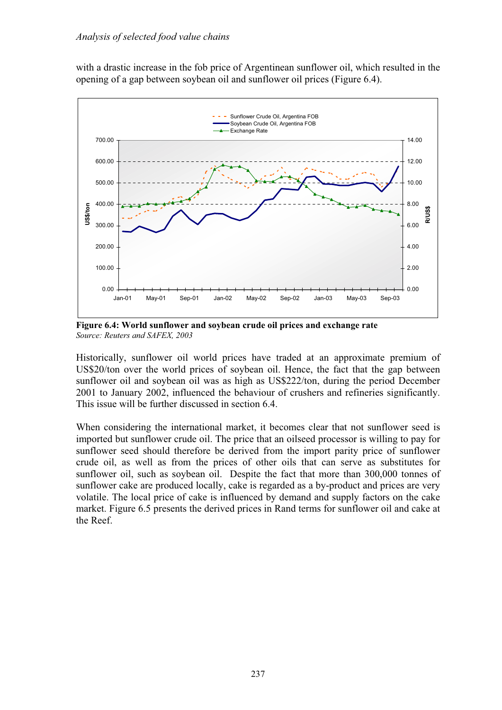with a drastic increase in the fob price of Argentinean sunflower oil, which resulted in the opening of a gap between soybean oil and sunflower oil prices (Figure 6.4).



**Figure 6.4: World sunflower and soybean crude oil prices and exchange rate** *Source: Reuters and SAFEX, 2003*

Historically, sunflower oil world prices have traded at an approximate premium of US\$20/ton over the world prices of soybean oil. Hence, the fact that the gap between sunflower oil and soybean oil was as high as US\$222/ton, during the period December 2001 to January 2002, influenced the behaviour of crushers and refineries significantly. This issue will be further discussed in section 6.4.

When considering the international market, it becomes clear that not sunflower seed is imported but sunflower crude oil. The price that an oilseed processor is willing to pay for sunflower seed should therefore be derived from the import parity price of sunflower crude oil, as well as from the prices of other oils that can serve as substitutes for sunflower oil, such as soybean oil. Despite the fact that more than 300,000 tonnes of sunflower cake are produced locally, cake is regarded as a by-product and prices are very volatile. The local price of cake is influenced by demand and supply factors on the cake market. Figure 6.5 presents the derived prices in Rand terms for sunflower oil and cake at the Reef.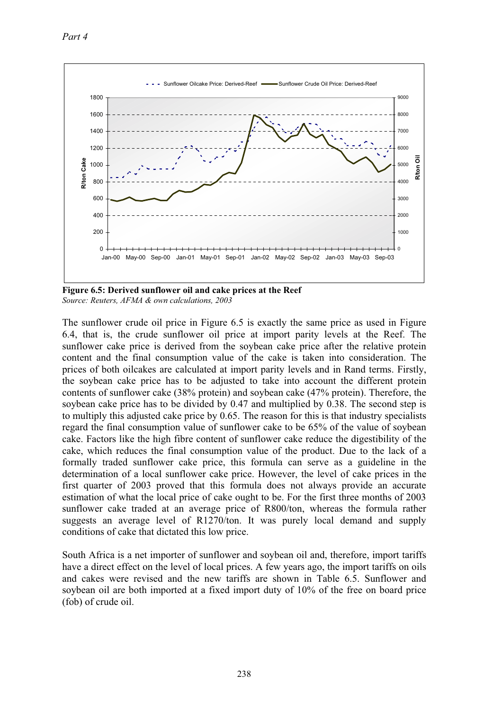

**Figure 6.5: Derived sunflower oil and cake prices at the Reef** *Source: Reuters, AFMA & own calculations, 2003*

The sunflower crude oil price in Figure 6.5 is exactly the same price as used in Figure 6.4, that is, the crude sunflower oil price at import parity levels at the Reef. The sunflower cake price is derived from the soybean cake price after the relative protein content and the final consumption value of the cake is taken into consideration. The prices of both oilcakes are calculated at import parity levels and in Rand terms. Firstly, the soybean cake price has to be adjusted to take into account the different protein contents of sunflower cake (38% protein) and soybean cake (47% protein). Therefore, the soybean cake price has to be divided by 0.47 and multiplied by 0.38. The second step is to multiply this adjusted cake price by 0.65. The reason for this is that industry specialists regard the final consumption value of sunflower cake to be 65% of the value of soybean cake. Factors like the high fibre content of sunflower cake reduce the digestibility of the cake, which reduces the final consumption value of the product. Due to the lack of a formally traded sunflower cake price, this formula can serve as a guideline in the determination of a local sunflower cake price. However, the level of cake prices in the first quarter of 2003 proved that this formula does not always provide an accurate estimation of what the local price of cake ought to be. For the first three months of 2003 sunflower cake traded at an average price of R800/ton, whereas the formula rather suggests an average level of R1270/ton. It was purely local demand and supply conditions of cake that dictated this low price.

South Africa is a net importer of sunflower and soybean oil and, therefore, import tariffs have a direct effect on the level of local prices. A few years ago, the import tariffs on oils and cakes were revised and the new tariffs are shown in Table 6.5. Sunflower and soybean oil are both imported at a fixed import duty of 10% of the free on board price (fob) of crude oil.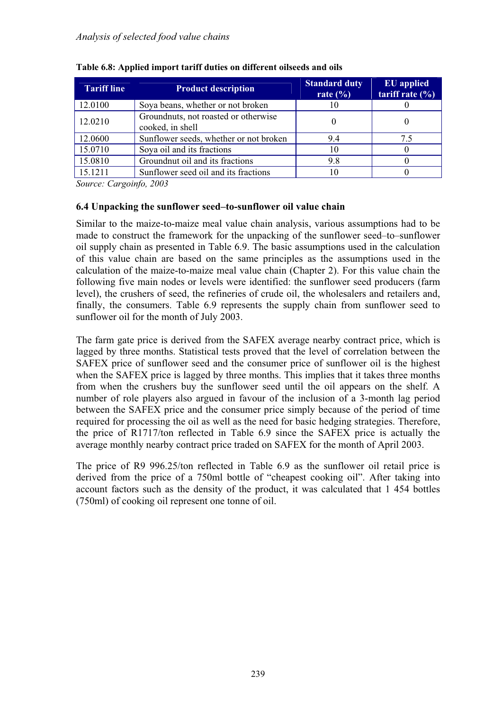| <b>Tariff line</b> | <b>Product description</b>                               | <b>Standard duty</b><br>rate $(\% )$ | <b>EU</b> applied<br>tariff rate $(\% )$ |
|--------------------|----------------------------------------------------------|--------------------------------------|------------------------------------------|
| 12.0100            | Soya beans, whether or not broken                        | 10                                   |                                          |
| 12.0210            | Groundnuts, not roasted or otherwise<br>cooked, in shell |                                      |                                          |
| 12.0600            | Sunflower seeds, whether or not broken                   | 9.4                                  | 7.5                                      |
| 15.0710            | Soya oil and its fractions                               | 10                                   |                                          |
| 15.0810            | Groundnut oil and its fractions                          | 9.8                                  |                                          |
| 15.1211            | Sunflower seed oil and its fractions                     |                                      |                                          |

|  |  | Table 6.8: Applied import tariff duties on different oilseeds and oils |
|--|--|------------------------------------------------------------------------|
|  |  |                                                                        |

*Source: Cargoinfo, 2003*

### **6.4 Unpacking the sunflower seed–to-sunflower oil value chain**

Similar to the maize-to-maize meal value chain analysis, various assumptions had to be made to construct the framework for the unpacking of the sunflower seed–to–sunflower oil supply chain as presented in Table 6.9. The basic assumptions used in the calculation of this value chain are based on the same principles as the assumptions used in the calculation of the maize-to-maize meal value chain (Chapter 2). For this value chain the following five main nodes or levels were identified: the sunflower seed producers (farm level), the crushers of seed, the refineries of crude oil, the wholesalers and retailers and, finally, the consumers. Table 6.9 represents the supply chain from sunflower seed to sunflower oil for the month of July 2003.

The farm gate price is derived from the SAFEX average nearby contract price, which is lagged by three months. Statistical tests proved that the level of correlation between the SAFEX price of sunflower seed and the consumer price of sunflower oil is the highest when the SAFEX price is lagged by three months. This implies that it takes three months from when the crushers buy the sunflower seed until the oil appears on the shelf. A number of role players also argued in favour of the inclusion of a 3-month lag period between the SAFEX price and the consumer price simply because of the period of time required for processing the oil as well as the need for basic hedging strategies. Therefore, the price of R1717/ton reflected in Table 6.9 since the SAFEX price is actually the average monthly nearby contract price traded on SAFEX for the month of April 2003.

The price of R9 996.25/ton reflected in Table 6.9 as the sunflower oil retail price is derived from the price of a 750ml bottle of "cheapest cooking oil". After taking into account factors such as the density of the product, it was calculated that 1 454 bottles (750ml) of cooking oil represent one tonne of oil.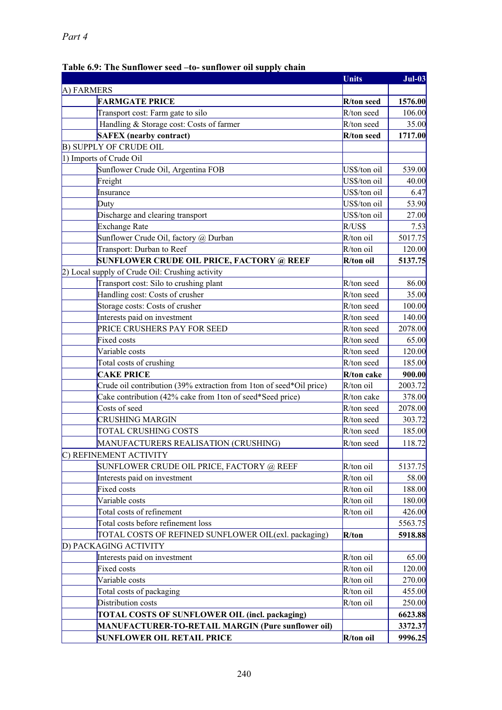#### **Units Jul-03** A) FARMERS **FARMGATE PRICE** R/ton seed 1576.00 Transport cost: Farm gate to silo  $R/ton seed$  106.00 Handling & Storage cost: Costs of farmer  $R/t$ on seed 35.00 **SAFEX (nearby contract)** R/ton seed 1717.00 B) SUPPLY OF CRUDE OIL 1) Imports of Crude Oil Sunflower Crude Oil, Argentina FOB US\$/ton oil 539.00 Freight 10.00 and 10.00 and 10.00 and 10.00 and 10.00 and 10.00 and 10.00 and 10.00 and 10.00 and 10.00 and 10 Insurance US\$/ton oil 6.47 Duty US\$/ton oil 53.90 Discharge and clearing transport US\$/ton oil 27.00 Exchange Rate R/US\$ R/US\$ 7.53 Sunflower Crude Oil, factory  $\omega$  Durban R/ton oil 5017.75 Transport: Durban to Reef R/ton oil 120.00 **SUNFLOWER CRUDE OIL PRICE, FACTORY @ REEF** R/ton oil 5137.75 2) Local supply of Crude Oil: Crushing activity Transport cost: Silo to crushing plant  $R/t$ on seed 86.00 Handling cost: Costs of crusher R/ton seed 35.00 Storage costs: Costs of crusher R/ton seed 100.00 Interests paid on investment R/ton seed 140.00 PRICE CRUSHERS PAY FOR SEED R/ton seed 2078.00 Fixed costs  $R/t$ on seed 65.00 Variable costs and the costs control of the costs and the costs and the costs control of the costs and the cost of the costs and the costs and the costs and the costs and the costs and the costs and the costs and the costs Total costs of crushing Total costs of crushing R/ton seed 185.00 **CAKE PRICE** 900.00 Crude oil contribution (39% extraction from 1ton of seed\*Oil price) R/ton oil 2003.72 Cake contribution (42% cake from 1ton of seed\*Seed price)  $R/t$ on cake 378.00 Costs of seed R/ton seed 2078.00  $CRUSHING MARGIN$  R/ton seed 303.72  $\sigma$  TOTAL CRUSHING COSTS  $R$ /ton seed 185.00 MANUFACTURERS REALISATION (CRUSHING) R/ton seed 118.72 C) REFINEMENT ACTIVITY SUNFLOWER CRUDE OIL PRICE, FACTORY @ REEF  $\vert x \rangle$  (ton oil  $\vert$  5137.75 Interests paid on investment and the state of the R/ton oil 58.00 Fixed costs and the set of the set of the set of the R/ton oil and 188.00 P and 188.00 Fixed costs Variable costs R/ton oil 180.00 Total costs of refinement  $R/t$ on oil  $426.00$ Total costs before refinement loss 5563.75 TOTAL COSTS OF REFINED SUNFLOWER OIL(exl. packaging) **R/ton 5918.88** D) PACKAGING ACTIVITY Interests paid on investment and the set of the R/ton oil and the 65.00 method of the 65.00 method of the 65.00 method of the 65.00 method of the 65.00 method of the 65.00 method of the 65.00 method of the 65.00 method of Fixed costs and the costs and the costs costs and the costs costs and the costs costs and the costs costs and the costs of  $\mathbb{R}/\text{ton}$  oil and the costs of  $\mathbb{R}/\text{ton}$  oil and the costs of  $\mathbb{R}/\text{ton}$  oil and the cos Variable costs R/ton oil 270.00 Total costs of packaging R/ton oil 455.00 Distribution costs **R**/ton oil 250.00 **TOTAL COSTS OF SUNFLOWER OIL (incl. packaging) 6623.88 MANUFACTURER-TO-RETAIL MARGIN (Pure sunflower oil) 3372.37**

#### **Table 6.9: The Sunflower seed –to- sunflower oil supply chain**

**SUNFLOWER OIL RETAIL PRICE R/ton oil 9996.25**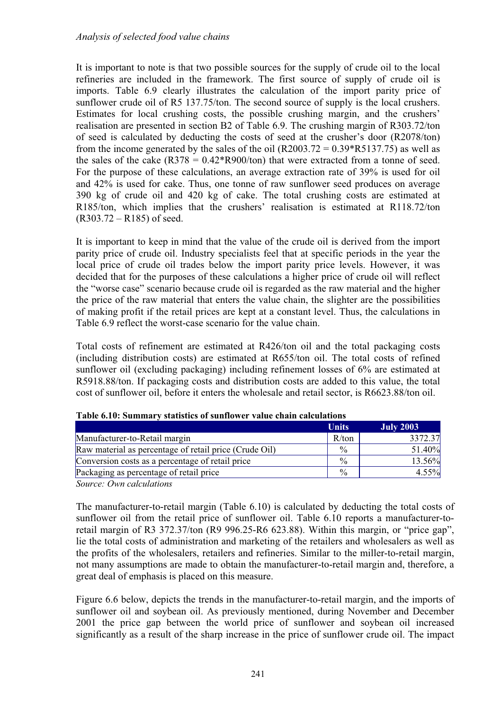It is important to note is that two possible sources for the supply of crude oil to the local refineries are included in the framework. The first source of supply of crude oil is imports. Table 6.9 clearly illustrates the calculation of the import parity price of sunflower crude oil of R5 137.75/ton. The second source of supply is the local crushers. Estimates for local crushing costs, the possible crushing margin, and the crushers' realisation are presented in section B2 of Table 6.9. The crushing margin of R303.72/ton of seed is calculated by deducting the costs of seed at the crusher's door (R2078/ton) from the income generated by the sales of the oil  $(R2003.72 = 0.39 * R5137.75)$  as well as the sales of the cake  $(R378 = 0.42*R900/ton)$  that were extracted from a tonne of seed. For the purpose of these calculations, an average extraction rate of 39% is used for oil and 42% is used for cake. Thus, one tonne of raw sunflower seed produces on average 390 kg of crude oil and 420 kg of cake. The total crushing costs are estimated at R185/ton, which implies that the crushers' realisation is estimated at R118.72/ton (R303.72 – R185) of seed.

It is important to keep in mind that the value of the crude oil is derived from the import parity price of crude oil. Industry specialists feel that at specific periods in the year the local price of crude oil trades below the import parity price levels. However, it was decided that for the purposes of these calculations a higher price of crude oil will reflect the "worse case" scenario because crude oil is regarded as the raw material and the higher the price of the raw material that enters the value chain, the slighter are the possibilities of making profit if the retail prices are kept at a constant level. Thus, the calculations in Table 6.9 reflect the worst-case scenario for the value chain.

Total costs of refinement are estimated at R426/ton oil and the total packaging costs (including distribution costs) are estimated at R655/ton oil. The total costs of refined sunflower oil (excluding packaging) including refinement losses of 6% are estimated at R5918.88/ton. If packaging costs and distribution costs are added to this value, the total cost of sunflower oil, before it enters the wholesale and retail sector, is R6623.88/ton oil.

|                                                        | <b>Units</b>  | <b>July 2003</b> |
|--------------------------------------------------------|---------------|------------------|
| Manufacturer-to-Retail margin                          | R/ton         | 3372.37          |
| Raw material as percentage of retail price (Crude Oil) | $\frac{0}{0}$ | 51.40%           |
| Conversion costs as a percentage of retail price       | $\frac{0}{0}$ | 13.56%           |
| Packaging as percentage of retail price                | $\frac{0}{0}$ | $4.55\%$         |

**Table 6.10: Summary statistics of sunflower value chain calculations** 

*Source: Own calculations*

The manufacturer-to-retail margin (Table 6.10) is calculated by deducting the total costs of sunflower oil from the retail price of sunflower oil. Table 6.10 reports a manufacturer-toretail margin of R3 372.37/ton (R9 996.25-R6 623.88). Within this margin, or "price gap", lie the total costs of administration and marketing of the retailers and wholesalers as well as the profits of the wholesalers, retailers and refineries. Similar to the miller-to-retail margin, not many assumptions are made to obtain the manufacturer-to-retail margin and, therefore, a great deal of emphasis is placed on this measure.

Figure 6.6 below, depicts the trends in the manufacturer-to-retail margin, and the imports of sunflower oil and soybean oil. As previously mentioned, during November and December 2001 the price gap between the world price of sunflower and soybean oil increased significantly as a result of the sharp increase in the price of sunflower crude oil. The impact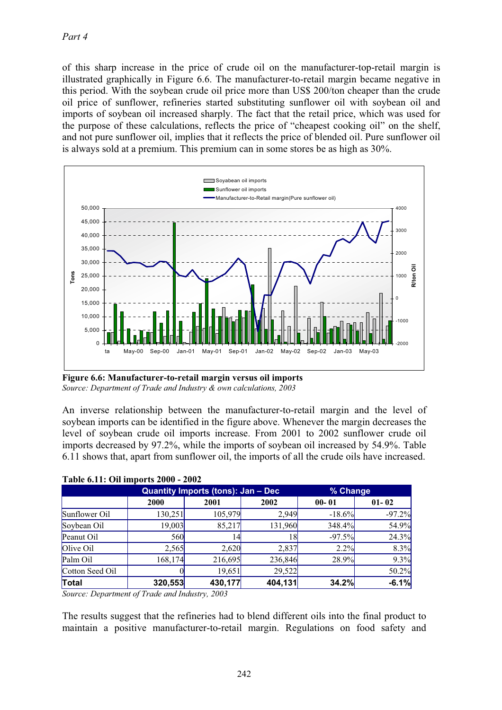of this sharp increase in the price of crude oil on the manufacturer-top-retail margin is illustrated graphically in Figure 6.6. The manufacturer-to-retail margin became negative in this period. With the soybean crude oil price more than US\$ 200/ton cheaper than the crude oil price of sunflower, refineries started substituting sunflower oil with soybean oil and imports of soybean oil increased sharply. The fact that the retail price, which was used for the purpose of these calculations, reflects the price of "cheapest cooking oil" on the shelf, and not pure sunflower oil, implies that it reflects the price of blended oil. Pure sunflower oil is always sold at a premium. This premium can in some stores be as high as 30%.



**Figure 6.6: Manufacturer-to-retail margin versus oil imports** *Source: Department of Trade and Industry & own calculations, 2003*

An inverse relationship between the manufacturer-to-retail margin and the level of soybean imports can be identified in the figure above. Whenever the margin decreases the level of soybean crude oil imports increase. From 2001 to 2002 sunflower crude oil imports decreased by 97.2%, while the imports of soybean oil increased by 54.9%. Table 6.11 shows that, apart from sunflower oil, the imports of all the crude oils have increased.

|                 |         | Quantity Imports (tons): Jan - Dec |         | % Change     |           |  |
|-----------------|---------|------------------------------------|---------|--------------|-----------|--|
|                 | 2000    | 2001                               | 2002    | $00 - 01$    | $01 - 02$ |  |
| Sunflower Oil   | 130,251 | 105,979                            | 2.949   | $-18.6%$     | $-97.2%$  |  |
| Soybean Oil     | 19,003  | 85,217                             | 131,960 | 348.4%       | 54.9%     |  |
| Peanut Oil      | 560     | 14                                 | 18      | $-97.5%$     | 24.3%     |  |
| Olive Oil       | 2,565   | 2,620                              | 2,837   | 2.2%         | 8.3%      |  |
| Palm Oil        | 168,174 | 216,695                            | 236,846 | 28.9%        | 9.3%      |  |
| Cotton Seed Oil |         | 19,651                             | 29,522  |              | 50.2%     |  |
| Total           | 320,553 | 430,177                            | 404,131 | <b>34.2%</b> | $-6.1%$   |  |

### **Table 6.11: Oil imports 2000 - 2002**

*Source: Department of Trade and Industry, 2003*

The results suggest that the refineries had to blend different oils into the final product to maintain a positive manufacturer-to-retail margin. Regulations on food safety and